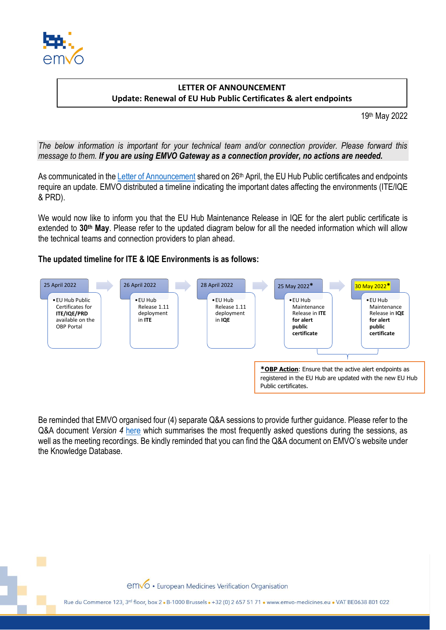

## **LETTER OF ANNOUNCEMENT Update: Renewal of EU Hub Public Certificates & alert endpoints**

19 th May 2022

*The below information is important for your technical team and/or connection provider. Please forward this message to them. If you are using EMVO Gateway as a connection provider, no actions are needed.*

As communicated in the [Letter of Announcement](https://emvo-medicines.eu/new/wp-content/uploads/EMVO_LoA_0226_20220426_Renewal_EU_Hub_Certificates_planned_dates.pdf) shared on 26<sup>th</sup> April, the EU Hub Public certificates and endpoints require an update. EMVO distributed a timeline indicating the important dates affecting the environments (ITE/IQE & PRD).

We would now like to inform you that the EU Hub Maintenance Release in IQE for the alert public certificate is extended to **30th May**. Please refer to the updated diagram below for all the needed information which will allow the technical teams and connection providers to plan ahead.

## **The updated timeline for ITE & IQE Environments is as follows:**



Be reminded that EMVO organised four (4) separate Q&A sessions to provide further guidance. Please refer to the Q&A document *Version 4* [here](https://emvo-medicines.eu/new/wp-content/uploads/QA_EU-Hub-Certificates-Renewal.pdf) which summarises the most frequently asked questions during the sessions, as well as the meeting recordings. Be kindly reminded that you can find the Q&A document on EMVO's website under the Knowledge Database.